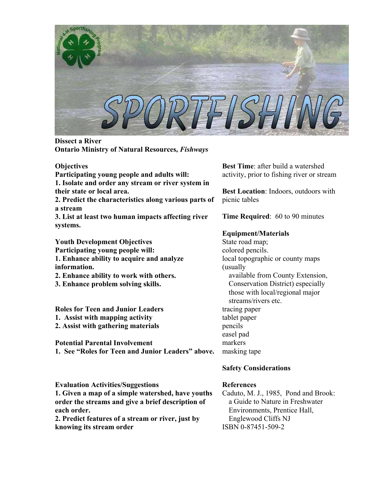

**Dissect a River Ontario Ministry of Natural Resources,** *Fishways*

#### **Objectives**

**Participating young people and adults will:** 

**1. Isolate and order any stream or river system in their state or local area.**

**2. Predict the characteristics along various parts of a stream** 

**3. List at least two human impacts affecting river systems.** 

**Youth Development Objectives Participating young people will: 1. Enhance ability to acquire and analyze information.**

**2. Enhance ability to work with others.** 

**3. Enhance problem solving skills.** 

**Roles for Teen and Junior Leaders 1. Assist with mapping activity** 

**2. Assist with gathering materials** 

**Potential Parental Involvement 1. See "Roles for Teen and Junior Leaders" above.**

**Evaluation Activities/Suggestions** 

**1. Given a map of a simple watershed, have youths order the streams and give a brief description of each order.**

**2. Predict features of a stream or river, just by knowing its stream order** 

**Best Time**: after build a watershed activity, prior to fishing river or stream

**Best Location**: Indoors, outdoors with picnic tables

**Time Required**: 60 to 90 minutes

# **Equipment/Materials**

State road map; colored pencils. local topographic or county maps (usually available from County Extension, Conservation District) especially those with local/regional major streams/rivers etc. tracing paper tablet paper pencils easel pad markers masking tape

# **Safety Considerations**

# **References**

Caduto, M. J., 1985, Pond and Brook: a Guide to Nature in Freshwater Environments, Prentice Hall, Englewood Cliffs NJ ISBN 0-87451-509-2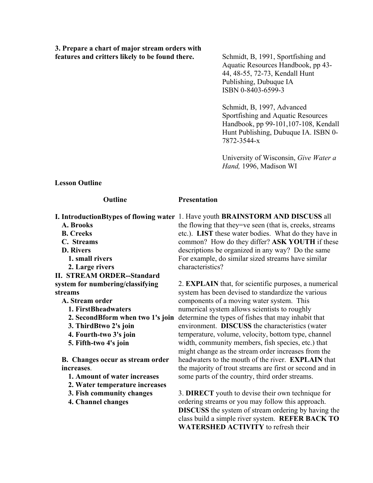**3. Prepare a chart of major stream orders with**  features and critters likely to be found there. Schmidt, B, 1991, Sportfishing and

Aquatic Resources Handbook, pp 43- 44, 48-55, 72-73, Kendall Hunt Publishing, Dubuque IA ISBN 0-8403-6599-3

Schmidt, B, 1997, Advanced Sportfishing and Aquatic Resources Handbook, pp 99-101,107-108, Kendall Hunt Publishing, Dubuque IA. ISBN 0- 7872-3544-x

University of Wisconsin, *Give Water a Hand,* 1996, Madison WI

**Lesson Outline** 

#### **Outline**

**Presentation** 

|                                         | <b>I. Introduction Btypes of flowing water 1. Have youth BRAINSTORM AND DISCUSS all</b> |
|-----------------------------------------|-----------------------------------------------------------------------------------------|
| A. Brooks                               | the flowing that they=ve seen (that is, creeks, streams                                 |
| <b>B.</b> Creeks                        | etc.). LIST these water bodies. What do they have in                                    |
| C. Streams                              | common? How do they differ? ASK YOUTH if these                                          |
| <b>D.</b> Rivers                        | descriptions be organized in any way? Do the same                                       |
| 1. small rivers                         | For example, do similar sized streams have similar                                      |
| 2. Large rivers                         | characteristics?                                                                        |
| <b>II. STREAM ORDER--Standard</b>       |                                                                                         |
| system for numbering/classifying        | 2. <b>EXPLAIN</b> that, for scientific purposes, a numerical                            |
| streams                                 | system has been devised to standardize the various                                      |
| A. Stream order                         | components of a moving water system. This                                               |
| 1. FirstBheadwaters                     | numerical system allows scientists to roughly                                           |
| 2. Second B form when two 1's join      | determine the types of fishes that may inhabit that                                     |
| 3. ThirdBtwo 2's join                   | environment. <b>DISCUSS</b> the characteristics (water                                  |
| 4. Fourth-two 3's join                  | temperature, volume, velocity, bottom type, channel                                     |
| 5. Fifth-two 4's join                   | width, community members, fish species, etc.) that                                      |
|                                         | might change as the stream order increases from the                                     |
| <b>B.</b> Changes occur as stream order | headwaters to the mouth of the river. <b>EXPLAIN</b> that                               |
| increases.                              | the majority of trout streams are first or second and in                                |
| 1. Amount of water increases            | some parts of the country, third order streams.                                         |
| 2. Water temperature increases          |                                                                                         |
| 3. Fish community changes               | 3. DIRECT youth to devise their own technique for                                       |
| 4. Channel changes                      | ordering streams or you may follow this approach.                                       |
|                                         | <b>DISCUSS</b> the system of stream ordering by having the                              |
|                                         | class build a simple river system $\cdot$ REFER BACK TO                                 |

class build a simple river system. **REFER BACK TO WATERSHED ACTIVITY** to refresh their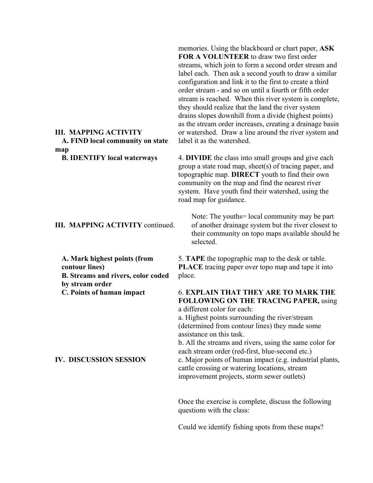# **III. MAPPING ACTIVITY A. FIND local community on state map**

**B. IDENTIFY local waterways**

## **III. MAPPING ACTIVITY** continued.

**A. Mark highest points (from contour lines) B. Streams and rivers, color coded by stream order C. Points of human impact**

## **IV. DISCUSSION SESSION**

memories. Using the blackboard or chart paper, **ASK FOR A VOLUNTEER** to draw two first order streams, which join to form a second order stream and label each. Then ask a second youth to draw a similar configuration and link it to the first to create a third order stream - and so on until a fourth or fifth order stream is reached. When this river system is complete, they should realize that the land the river system drains slopes downhill from a divide (highest points) as the stream order increases, creating a drainage basin or watershed. Draw a line around the river system and label it as the watershed.

4. **DIVIDE** the class into small groups and give each group a state road map, sheet(s) of tracing paper, and topographic map. **DIRECT** youth to find their own community on the map and find the nearest river system. Have youth find their watershed, using the road map for guidance.

Note: The youths = local community may be part of another drainage system but the river closest to their community on topo maps available should be selected.

5. **TAPE** the topographic map to the desk or table. **PLACE** tracing paper over topo map and tape it into place.

## 6. **EXPLAIN THAT THEY ARE TO MARK THE FOLLOWING ON THE TRACING PAPER,** using a different color for each:

a. Highest points surrounding the river/stream (determined from contour lines) they made some assistance on this task.

b. All the streams and rivers, using the same color for each stream order (red-first, blue-second etc.) c. Major points of human impact (e.g. industrial plants, cattle crossing or watering locations, stream improvement projects, storm sewer outlets)

Once the exercise is complete, discuss the following questions with the class:

Could we identify fishing spots from these maps?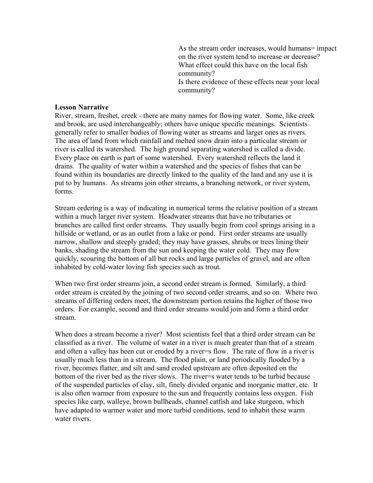As the stream order increases, would humans= impact on the river system tend to increase or decrease? What effect could this have on the local fish community? Is there evidence of these effects near your local community?

#### **Lesson Narrative**

River, stream, freshet, creek - there are many names for flowing water. Some, like creek and brook, are used interchangeably; others have unique specific meanings. Scientists generally refer to smaller bodies of flowing water as streams and larger ones as rivers. The area of land from which rainfall and melted snow drain into a particular stream or river is called its watershed. The high ground separating watershed is called a divide. Every place on earth is part of some watershed. Every watershed reflects the land it drains. The quality of water within a watershed and the species of fishes that can be found within its boundaries are directly linked to the quality of the land and any use it is put to by humans. As streams join other streams, a branching network, or river system, forms.

Stream ordering is a way of indicating in numerical terms the relative position of a stream within a much larger river system. Headwater streams that have no tributaries or branches are called first order streams. They usually begin from cool springs arising in a hillside or wetland, or as an outlet from a lake or pond. First order streams are usually narrow, shallow and steeply graded; they may have grasses, shrubs or trees lining their banks, shading the stream from the sun and keeping the water cold. They may flow quickly, scouring the bottom of all but rocks and large particles of gravel, and are often inhabited by cold-water loving fish species such as trout.

When two first order streams join, a second order stream is formed. Similarly, a third order stream is created by the joining of two second order streams, and so on. Where two streams of differing orders meet, the downstream portion retains the higher of those two orders. For example, second and third order streams would join and form a third order stream.

When does a stream become a river? Most scientists feel that a third order stream can be classified as a river. The volume of water in a river is much greater than that of a stream and often a valley has been cut or eroded by a river=s flow. The rate of flow in a river is usually much less than in a stream. The flood plain, or land periodically flooded by a river, becomes flatter, and silt and sand eroded upstream are often deposited on the bottom of the river bed as the river slows. The river=s water tends to be turbid because of the suspended particles of clay, silt, finely divided organic and inorganic matter, etc. It is also often warmer from exposure to the sun and frequently contains less oxygen. Fish species like carp, walleye, brown bullheads, channel catfish and lake sturgeon, which have adapted to warmer water and more turbid conditions, tend to inhabit these warm water rivers.